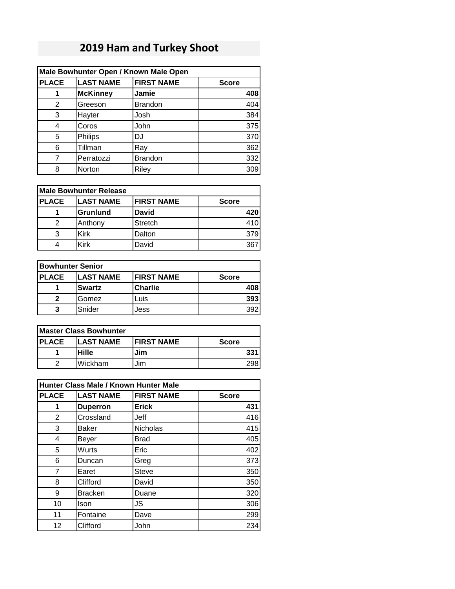## **2019 Ham and Turkey Shoot**

| Male Bowhunter Open / Known Male Open |                  |                   |              |
|---------------------------------------|------------------|-------------------|--------------|
| <b>PLACE</b>                          | <b>LAST NAME</b> | <b>FIRST NAME</b> | <b>Score</b> |
| 1                                     | <b>McKinney</b>  | Jamie             | 408          |
| 2                                     | Greeson          | <b>Brandon</b>    | 404          |
| 3                                     | Hayter           | Josh              | 384          |
| 4                                     | Coros            | John              | 375          |
| 5                                     | Philips          | DJ                | 370          |
| 6                                     | Tillman          | Ray               | 362          |
| 7                                     | Perratozzi       | <b>Brandon</b>    | 332          |
| 8                                     | Norton           | Riley             | 309          |

| <b>PLACE</b> | <b>LAST NAME</b> | <b>FIRST NAME</b> | <b>Score</b> |
|--------------|------------------|-------------------|--------------|
|              | <b>Grunlund</b>  | <b>David</b>      | 420          |
|              | Anthony          | <b>Stretch</b>    | 410          |
| 3            | <b>Kirk</b>      | Dalton            | 379          |
|              | Kirk             | David             | 367          |

| <b>Bowhunter Senior</b> |                  |                   |              |  |
|-------------------------|------------------|-------------------|--------------|--|
| <b>PLACE</b>            | <b>LAST NAME</b> | <b>FIRST NAME</b> | <b>Score</b> |  |
|                         | <b>Swartz</b>    | <b>Charlie</b>    | 408          |  |
| 2                       | Gomez            | Luis              | 393          |  |
| 3                       | Snider           | Jess              | 392          |  |

| <b>Master Class Bowhunter</b> |                  |                    |              |
|-------------------------------|------------------|--------------------|--------------|
| <b>PLACE</b>                  | <b>LAST NAME</b> | <b>IFIRST NAME</b> | <b>Score</b> |
|                               | Hille            | Jim                | 331          |
|                               | Wickham          | Jim                |              |

| Hunter Class Male / Known Hunter Male |                  |                   |              |
|---------------------------------------|------------------|-------------------|--------------|
| <b>PLACE</b>                          | <b>LAST NAME</b> | <b>FIRST NAME</b> | <b>Score</b> |
| 1                                     | <b>Duperron</b>  | <b>Erick</b>      | 431          |
| $\overline{2}$                        | Crossland        | Jeff              | 416          |
| 3                                     | <b>Baker</b>     | Nicholas          | 415          |
| 4                                     | Beyer            | <b>Brad</b>       | 405          |
| 5                                     | Wurts            | Eric              | 402          |
| 6                                     | Duncan           | Greg              | 373          |
| 7                                     | Earet            | <b>Steve</b>      | 350          |
| 8                                     | Clifford         | David             | 350          |
| 9                                     | <b>Bracken</b>   | Duane             | 320          |
| 10                                    | Ison             | JS                | 306          |
| 11                                    | Fontaine         | Dave              | 299          |
| 12                                    | Clifford         | John              | 234          |